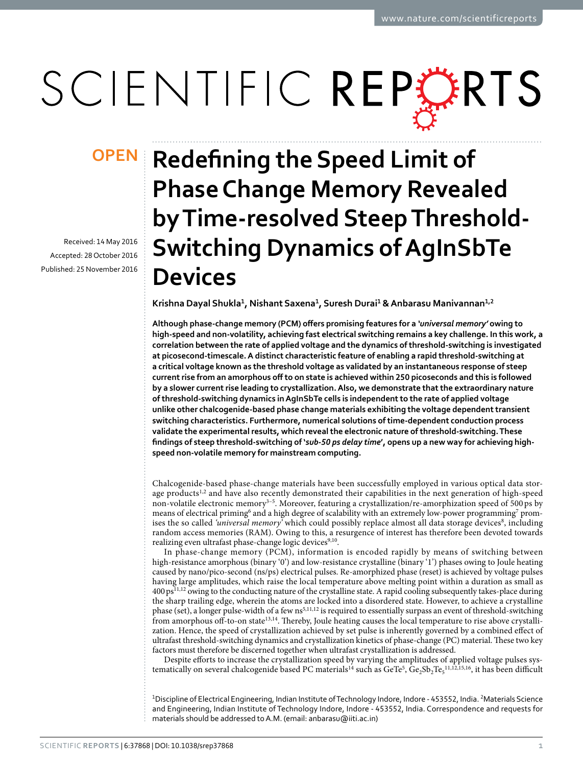# SCIENTIFIC REPERTS

Received: 14 May 2016 accepted: 28 October 2016 Published: 25 November 2016

## **Redefining the Speed Limit of Phase Change Memory Revealed by Time-resolved Steep Threshold-Switching Dynamics of AgInSbTe Devices**

**Krishna Dayal Shukla<sup>1</sup> , Nishant Saxena<sup>1</sup> , Suresh Durai<sup>1</sup> & Anbarasu Manivannan<sup>1</sup>,<sup>2</sup>**

**Although phase-change memory (PCM) offers promising features for a** *'universal memory'* **owing to high-speed and non-volatility, achieving fast electrical switching remains a key challenge. In this work, a correlation between the rate of applied voltage and the dynamics of threshold-switching is investigated at picosecond-timescale. A distinct characteristic feature of enabling a rapid threshold-switching at a critical voltage known as the threshold voltage as validated by an instantaneous response of steep current rise from an amorphous off to on state is achieved within 250 picoseconds and this is followed by a slower current rise leading to crystallization. Also, we demonstrate that the extraordinary nature of threshold-switching dynamics in AgInSbTe cells is independent to the rate of applied voltage unlike other chalcogenide-based phase change materials exhibiting the voltage dependent transient switching characteristics. Furthermore, numerical solutions of time-dependent conduction process validate the experimental results, which reveal the electronic nature of threshold-switching. These findings of steep threshold-switching of '***sub-50 ps delay time***', opens up a new way for achieving highspeed non-volatile memory for mainstream computing.**

Chalcogenide-based phase-change materials have been successfully employed in various optical data stor-age products<sup>[1](#page-5-0),[2](#page-5-1)</sup> and have also recently demonstrated their capabilities in the next generation of high-speed non-volatile electronic memory<sup>3-5</sup>. Moreover, featuring a crystallization/re-amorphization speed of 500 ps by means of electrical priming<sup>[6](#page-5-3)</sup> and a high degree of scalability with an extremely low-power programming<sup>[7](#page-5-4)</sup> prom-ises the so called 'universal memory' which could possibly replace almost all data storage devices[8](#page-5-5), including random access memories (RAM). Owing to this, a resurgence of interest has therefore been devoted towards realizing even ultrafast phase-change logic devices<sup>[9,](#page-5-6)[10](#page-5-7)</sup>.

In phase-change memory (PCM), information is encoded rapidly by means of switching between high-resistance amorphous (binary '0') and low-resistance crystalline (binary '1') phases owing to Joule heating caused by nano/pico-second (ns/ps) electrical pulses. Re-amorphized phase (reset) is achieved by voltage pulses having large amplitudes, which raise the local temperature above melting point within a duration as small as 400 ps[11](#page-5-8)[,12](#page-5-9) owing to the conducting nature of the crystalline state. A rapid cooling subsequently takes-place during the sharp trailing edge, wherein the atoms are locked into a disordered state. However, to achieve a crystalline phase (set), a longer pulse-width of a few ns<sup>[5](#page-5-10)[,11](#page-5-8)[,12](#page-5-9)</sup> is required to essentially surpass an event of threshold-switching from amorphous off-to-on state[13,](#page-5-11)[14](#page-5-12). Thereby, Joule heating causes the local temperature to rise above crystallization. Hence, the speed of crystallization achieved by set pulse is inherently governed by a combined effect of ultrafast threshold-switching dynamics and crystallization kinetics of phase-change (PC) material. These two key factors must therefore be discerned together when ultrafast crystallization is addressed.

Despite efforts to increase the crystallization speed by varying the amplitudes of applied voltage pulses sys-tematically on several chalcogenide based PC materials<sup>[14](#page-5-12)</sup> such as  $GeTe^5, Ge_2Sb_2Te_5^{11,12,15,16}$  $GeTe^5, Ge_2Sb_2Te_5^{11,12,15,16}$  $GeTe^5, Ge_2Sb_2Te_5^{11,12,15,16}$  $GeTe^5, Ge_2Sb_2Te_5^{11,12,15,16}$  $GeTe^5, Ge_2Sb_2Te_5^{11,12,15,16}$  $GeTe^5, Ge_2Sb_2Te_5^{11,12,15,16}$  $GeTe^5, Ge_2Sb_2Te_5^{11,12,15,16}$  $GeTe^5, Ge_2Sb_2Te_5^{11,12,15,16}$  $GeTe^5, Ge_2Sb_2Te_5^{11,12,15,16}$ , it has been difficult

<sup>1</sup>Discipline of Electrical Engineering, Indian Institute of Technology Indore, Indore - 453552, India. <sup>2</sup>Materials Science and Engineering, Indian Institute of Technology Indore, Indore - 453552, India. Correspondence and requests for materials should be addressed to A.M. (email: [anbarasu@iiti.ac.in\)](mailto:anbarasu@iiti.ac.in)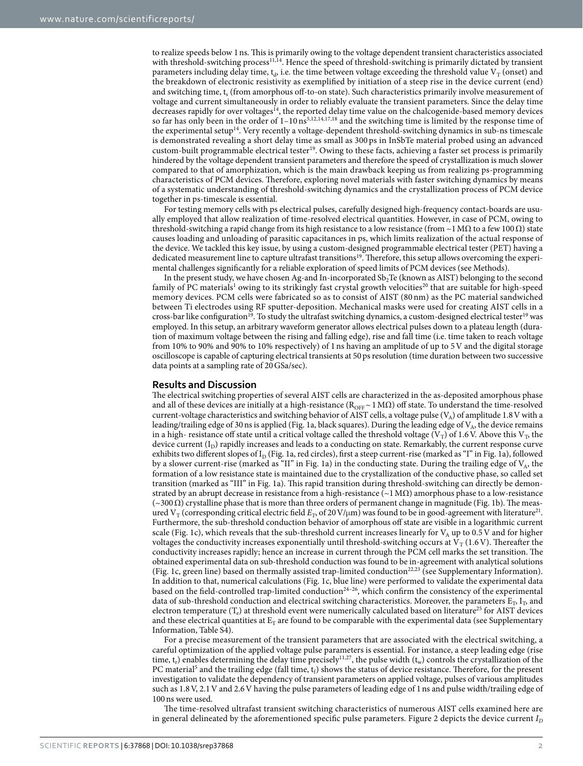to realize speeds below 1 ns. This is primarily owing to the voltage dependent transient characteristics associated with threshold-switching process<sup>[11](#page-5-8)[,14](#page-5-12)</sup>. Hence the speed of threshold-switching is primarily dictated by transient parameters including delay time, t<sub>d</sub>, i.e. the time between voltage exceeding the threshold value V<sub>T</sub> (onset) and the breakdown of electronic resistivity as exemplified by initiation of a steep rise in the device current (end) and switching time, t<sub>s</sub> (from amorphous off-to-on state). Such characteristics primarily involve measurement of voltage and current simultaneously in order to reliably evaluate the transient parameters. Since the delay time decreases rapidly for over voltages<sup>[14](#page-5-12)</sup>, the reported delay time value on the chalcogenide-based memory devices so far has only been in the order of  $1-10$  ns<sup>[5](#page-5-10),[12](#page-5-9),[14](#page-5-12),[17,](#page-5-15)[18](#page-6-0)</sup> and the switching time is limited by the response time of the experimental setup<sup>[14](#page-5-12)</sup>. Very recently a voltage-dependent threshold-switching dynamics in sub-ns timescale is demonstrated revealing a short delay time as small as 300 ps in InSbTe material probed using an advanced custom-built programmable electrical tester[19](#page-6-1). Owing to these facts, achieving a faster set process is primarily hindered by the voltage dependent transient parameters and therefore the speed of crystallization is much slower compared to that of amorphization, which is the main drawback keeping us from realizing ps-programming characteristics of PCM devices. Therefore, exploring novel materials with faster switching dynamics by means of a systematic understanding of threshold-switching dynamics and the crystallization process of PCM device together in ps-timescale is essential.

For testing memory cells with ps electrical pulses, carefully designed high-frequency contact-boards are usually employed that allow realization of time-resolved electrical quantities. However, in case of PCM, owing to threshold-switching a rapid change from its high resistance to a low resistance (from ~1 MΩ to a few 100  $\Omega$ ) state causes loading and unloading of parasitic capacitances in ps, which limits realization of the actual response of the device. We tackled this key issue, by using a custom-designed programmable electrical tester (PET) having a dedicated measurement line to capture ultrafast transitions<sup>[19](#page-6-1)</sup>. Therefore, this setup allows overcoming the experimental challenges significantly for a reliable exploration of speed limits of PCM devices (see Methods).

In the present study, we have chosen Ag-and In-incorporated  $Sb<sub>2</sub>Te$  (known as AIST) belonging to the second family of PC materials<sup>[1](#page-5-0)</sup> owing to its strikingly fast crystal growth velocities<sup>[20](#page-6-2)</sup> that are suitable for high-speed memory devices. PCM cells were fabricated so as to consist of AIST (80 nm) as the PC material sandwiched between Ti electrodes using RF sputter-deposition. Mechanical masks were used for creating AIST cells in a cross-bar like configuration<sup>[19](#page-6-1)</sup>. To study the ultrafast switching dynamics, a custom-designed electrical tester<sup>19</sup> was employed. In this setup, an arbitrary waveform generator allows electrical pulses down to a plateau length (duration of maximum voltage between the rising and falling edge), rise and fall time (i.e. time taken to reach voltage from 10% to 90% and 90% to 10% respectively) of 1 ns having an amplitude of up to 5 V and the digital storage oscilloscope is capable of capturing electrical transients at 50 ps resolution (time duration between two successive data points at a sampling rate of 20 GSa/sec).

#### **Results and Discussion**

The electrical switching properties of several AIST cells are characterized in the as-deposited amorphous phase and all of these devices are initially at a high-resistance ( $R_{\text{OFF}} \sim 1 \text{ M}\Omega$ ) off state. To understand the time-resolved current-voltage characteristics and switching behavior of AIST cells, a voltage pulse ( $V_A$ ) of amplitude 1.8 V with a leading/trailing edge of 30 ns is applied ([Fig. 1a](#page-2-0), black squares). During the leading edge of  $V_A$ , the device remains in a high- resistance off state until a critical voltage called the threshold voltage ( $V_T$ ) of 1.6 V. Above this  $V_T$ , the device current  $(I_D)$  rapidly increases and leads to a conducting on state. Remarkably, the current response curve exhibits two different slopes of  $I_D$  ([Fig. 1a](#page-2-0), red circles), first a steep current-rise (marked as "I" in [Fig. 1a\)](#page-2-0), followed by a slower current-rise (marked as "II" in [Fig. 1a](#page-2-0)) in the conducting state. During the trailing edge of  $V_A$ , the formation of a low resistance state is maintained due to the crystallization of the conductive phase, so called set transition (marked as "III" in [Fig. 1a\)](#page-2-0). This rapid transition during threshold-switching can directly be demonstrated by an abrupt decrease in resistance from a high-resistance ( $\sim$ 1 M $\Omega$ ) amorphous phase to a low-resistance  $(\sim 300 Ω)$  crystalline phase that is more than three orders of permanent change in magnitude ([Fig. 1b\)](#page-2-0). The measured V<sub>T</sub> (corresponding critical electric field  $E_T$ , of 20 V/µm) was found to be in good-agreement with literature<sup>[21](#page-6-3)</sup>. Furthermore, the sub-threshold conduction behavior of amorphous off state are visible in a logarithmic current scale [\(Fig. 1c](#page-2-0)), which reveals that the sub-threshold current increases linearly for  $V_A$  up to 0.5 V and for higher voltages the conductivity increases exponentially until threshold-switching occurs at  $V_T(1.6 V)$ . Thereafter the conductivity increases rapidly; hence an increase in current through the PCM cell marks the set transition. The obtained experimental data on sub-threshold conduction was found to be in-agreement with analytical solutions ([Fig. 1c,](#page-2-0) green line) based on thermally assisted trap-limited conduction<sup>[22](#page-6-4),[23](#page-6-5)</sup> (see Supplementary Information). In addition to that, numerical calculations ([Fig. 1c,](#page-2-0) blue line) were performed to validate the experimental data based on the field-controlled trap-limited conduction<sup>24-26</sup>, which confirm the consistency of the experimental data of sub-threshold conduction and electrical switching characteristics. Moreover, the parameters  $E_T$ ,  $I_T$  and electron temperature  $(T_e)$  at threshold event were numerically calculated based on literature<sup>[25](#page-6-7)</sup> for AIST devices and these electrical quantities at  $E_T$  are found to be comparable with the experimental data (see Supplementary Information, Table S4).

For a precise measurement of the transient parameters that are associated with the electrical switching, a careful optimization of the applied voltage pulse parameters is essential. For instance, a steep leading edge (rise time,  $t_r$ ) enables determining the delay time precisely<sup>[11](#page-5-8),[27](#page-6-8)</sup>, the pulse width  $(t_w)$  controls the crystallization of the PC material<sup>[5](#page-5-10)</sup> and the trailing edge (fall time,  $t_f$ ) shows the status of device resistance. Therefore, for the present investigation to validate the dependency of transient parameters on applied voltage, pulses of various amplitudes such as 1.8 V, 2.1 V and 2.6 V having the pulse parameters of leading edge of 1 ns and pulse width/trailing edge of 100 ns were used.

The time-resolved ultrafast transient switching characteristics of numerous AIST cells examined here are in general delineated by the aforementioned specific pulse parameters. [Figure 2](#page-3-0) depicts the device current  $I<sub>D</sub>$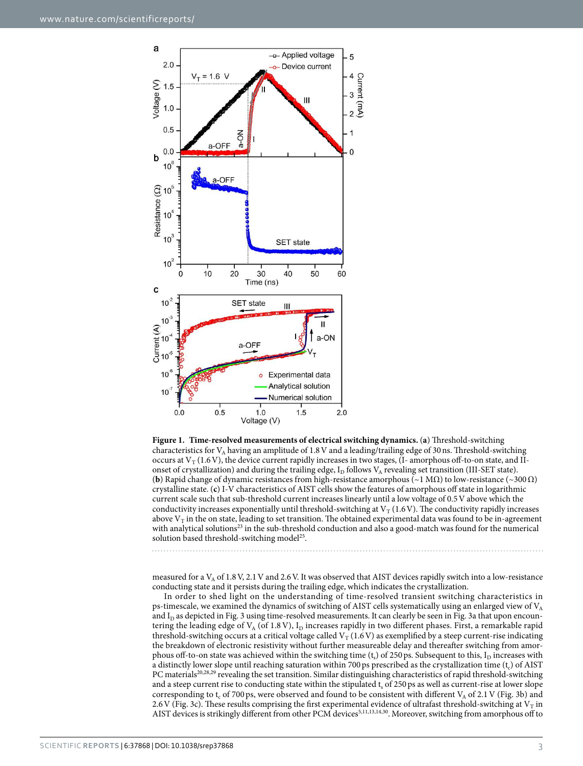

<span id="page-2-0"></span>**Figure 1. Time-resolved measurements of electrical switching dynamics.** (**a**) Threshold-switching characteristics for V<sub>A</sub> having an amplitude of 1.8 V and a leading/trailing edge of 30 ns. Threshold-switching occurs at  $V_T(1.6 V)$ , the device current rapidly increases in two stages, (I-amorphous off-to-on state, and IIonset of crystallization) and during the trailing edge,  $I_D$  follows  $V_A$  revealing set transition (III-SET state). **(b)** Rapid change of dynamic resistances from high-resistance amorphous ( $\sim$ 1 M $\Omega$ ) to low-resistance ( $\sim$ 300 $\Omega$ ) crystalline state. (**c**) I-V characteristics of AIST cells show the features of amorphous off state in logarithmic current scale such that sub-threshold current increases linearly until a low voltage of 0.5 V above which the conductivity increases exponentially until threshold-switching at  $V_T$  (1.6 V). The conductivity rapidly increases above  $V_T$  in the on state, leading to set transition. The obtained experimental data was found to be in-agreement with analytical solutions<sup>[23](#page-6-5)</sup> in the sub-threshold conduction and also a good-match was found for the numerical solution based threshold-switching model<sup>[25](#page-6-7)</sup>.

measured for a  $V_A$  of 1.8 V, 2.1 V and 2.6 V. It was observed that AIST devices rapidly switch into a low-resistance conducting state and it persists during the trailing edge, which indicates the crystallization.

In order to shed light on the understanding of time-resolved transient switching characteristics in ps-timescale, we examined the dynamics of switching of AIST cells systematically using an enlarged view of  $V_A$ and  $I_D$  as depicted in [Fig. 3](#page-4-0) using time-resolved measurements. It can clearly be seen in [Fig. 3a](#page-4-0) that upon encountering the leading edge of  $V_A$  (of 1.8 V),  $I_D$  increases rapidly in two different phases. First, a remarkable rapid threshold-switching occurs at a critical voltage called  $V_T(1.6 V)$  as exemplified by a steep current-rise indicating the breakdown of electronic resistivity without further measureable delay and thereafter switching from amorphous off-to-on state was achieved within the switching time  $(t_s)$  of 250 ps. Subsequent to this,  $I_D$  increases with a distinctly lower slope until reaching saturation within 700 ps prescribed as the crystallization time  $(t_c)$  of AIST PC materials<sup>[20](#page-6-2)[,28,](#page-6-9)[29](#page-6-10)</sup> revealing the set transition. Similar distinguishing characteristics of rapid threshold-switching and a steep current rise to conducting state within the stipulated  $t_s$  of 250 ps as well as current-rise at lower slope corresponding to  $t_c$  of 700 ps, were observed and found to be consistent with different  $V_A$  of 2.1 V [\(Fig. 3b\)](#page-4-0) and 2.6 V ([Fig. 3c](#page-4-0)). These results comprising the first experimental evidence of ultrafast threshold-switching at  $V<sub>T</sub>$  in AIST devices is strikingly different from other PCM devices<sup>[5,](#page-5-10)[11,](#page-5-8)[13,](#page-5-11)[14,](#page-5-12)[30](#page-6-11)</sup>. Moreover, switching from amorphous off to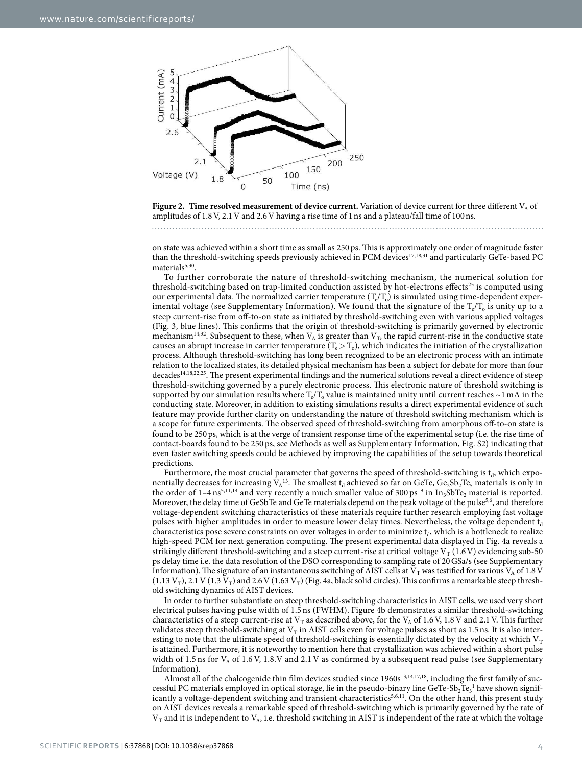

<span id="page-3-0"></span>

on state was achieved within a short time as small as 250 ps. This is approximately one order of magnitude faster than the threshold-switching speeds previously achieved in PCM devices<sup>[17](#page-5-15),[18](#page-6-0),[31](#page-6-12)</sup> and particularly GeTe-based PC materials<sup>[5](#page-5-10),[30](#page-6-11)</sup>.

To further corroborate the nature of threshold-switching mechanism, the numerical solution for threshold-switching based on trap-limited conduction assisted by hot-electrons effects<sup>[25](#page-6-7)</sup> is computed using our experimental data. The normalized carrier temperature  $(T_{e}/T_{o})$  is simulated using time-dependent experimental voltage (see Supplementary Information). We found that the signature of the  $\rm T_e/T_o$  is unity up to a steep current-rise from off-to-on state as initiated by threshold-switching even with various applied voltages ([Fig. 3,](#page-4-0) blue lines). This confirms that the origin of threshold-switching is primarily governed by electronic mechanism<sup>[14](#page-5-12),[32](#page-6-13)</sup>. Subsequent to these, when  $V_A$  is greater than  $V_T$ , the rapid current-rise in the conductive state causes an abrupt increase in carrier temperature  $(T_e > T_o)$ , which indicates the initiation of the crystallization process. Although threshold-switching has long been recognized to be an electronic process with an intimate relation to the localized states, its detailed physical mechanism has been a subject for debate for more than four decades<sup>[14,](#page-5-12)[18,](#page-6-0)[22,](#page-6-4)[25](#page-6-7)</sup>. The present experimental findings and the numerical solutions reveal a direct evidence of steep threshold-switching governed by a purely electronic process. This electronic nature of threshold switching is supported by our simulation results where  $T_{\rm e}/T_{\rm o}$  value is maintained unity until current reaches ~1 mA in the conducting state. Moreover, in addition to existing simulations results a direct experimental evidence of such feature may provide further clarity on understanding the nature of threshold switching mechanism which is a scope for future experiments. The observed speed of threshold-switching from amorphous off-to-on state is found to be 250 ps, which is at the verge of transient response time of the experimental setup (i.e. the rise time of contact-boards found to be 250 ps, see Methods as well as Supplementary Information, Fig. S2) indicating that even faster switching speeds could be achieved by improving the capabilities of the setup towards theoretical predictions.

Furthermore, the most crucial parameter that governs the speed of threshold-switching is  $t_d$ , which exponentially decreases for increasing  $V_A^{13}$  $V_A^{13}$  $V_A^{13}$ . The smallest  $t_d$  achieved so far on GeTe,  $Ge_2Sb_2Te_5$  materials is only in the order of  $1-4 \text{ ns}^{5,11,14}$  $1-4 \text{ ns}^{5,11,14}$  $1-4 \text{ ns}^{5,11,14}$  $1-4 \text{ ns}^{5,11,14}$  $1-4 \text{ ns}^{5,11,14}$  and very recently a much smaller value of  $300 \text{ ps}^{19}$  $300 \text{ ps}^{19}$  $300 \text{ ps}^{19}$  in  $\text{In}_3\text{SbTe}_2$  material is reported. Moreover, the delay time of GeSbTe and GeTe materials depend on the peak voltage of the pulse<sup>[5,](#page-5-10)[6](#page-5-3)</sup>, and therefore voltage-dependent switching characteristics of these materials require further research employing fast voltage pulses with higher amplitudes in order to measure lower delay times. Nevertheless, the voltage dependent  $t_d$ characteristics pose severe constraints on over voltages in order to minimize  $\mathfrak{t}_d$ , which is a bottleneck to realize high-speed PCM for next generation computing. The present experimental data displayed in [Fig. 4a](#page-4-1) reveals a strikingly different threshold-switching and a steep current-rise at critical voltage  $V_T(1.6 V)$  evidencing sub-50 ps delay time i.e. the data resolution of the DSO corresponding to sampling rate of 20 GSa/s (see Supplementary Information). The signature of an instantaneous switching of AIST cells at  $V<sub>T</sub>$  was testified for various  $V<sub>A</sub>$  of 1.8 V  $(1.13 \text{ V}_T)$ ,  $2.1 \text{ V}$   $(1.3 \text{ V}_T)$  and  $2.6 \text{ V}$   $(1.63 \text{ V}_T)$  ([Fig. 4a](#page-4-1), black solid circles). This confirms a remarkable steep threshold switching dynamics of AIST devices.

In order to further substantiate on steep threshold-switching characteristics in AIST cells, we used very short electrical pulses having pulse width of 1.5 ns (FWHM). [Figure 4b](#page-4-1) demonstrates a similar threshold-switching characteristics of a steep current-rise at  $V_T$  as described above, for the  $V_A$  of 1.6 V, 1.8 V and 2.1 V. This further validates steep threshold-switching at  $V<sub>T</sub>$  in AIST cells even for voltage pulses as short as 1.5 ns. It is also interesting to note that the ultimate speed of threshold-switching is essentially dictated by the velocity at which  $V_T$ is attained. Furthermore, it is noteworthy to mention here that crystallization was achieved within a short pulse width of 1.5 ns for  $V_A$  of 1.6 V, 1.8.V and 2.1 V as confirmed by a subsequent read pulse (see Supplementary Information).

Almost all of the chalcogenide thin film devices studied since  $1960s^{13,14,17,18}$  $1960s^{13,14,17,18}$  $1960s^{13,14,17,18}$  $1960s^{13,14,17,18}$  $1960s^{13,14,17,18}$  $1960s^{13,14,17,18}$ , including the first family of suc-cessful PC materials employed in optical storage, lie in the pseudo-binary line GeTe-Sb<sub>2</sub>Te<sub>3</sub><sup>[1](#page-5-0)</sup> have shown signif-icantly a voltage-dependent switching and transient characteristics<sup>[5](#page-5-10),[6](#page-5-3),[11](#page-5-8)</sup>. On the other hand, this present study on AIST devices reveals a remarkable speed of threshold-switching which is primarily governed by the rate of  $V_T$  and it is independent to  $V_A$ , i.e. threshold switching in AIST is independent of the rate at which the voltage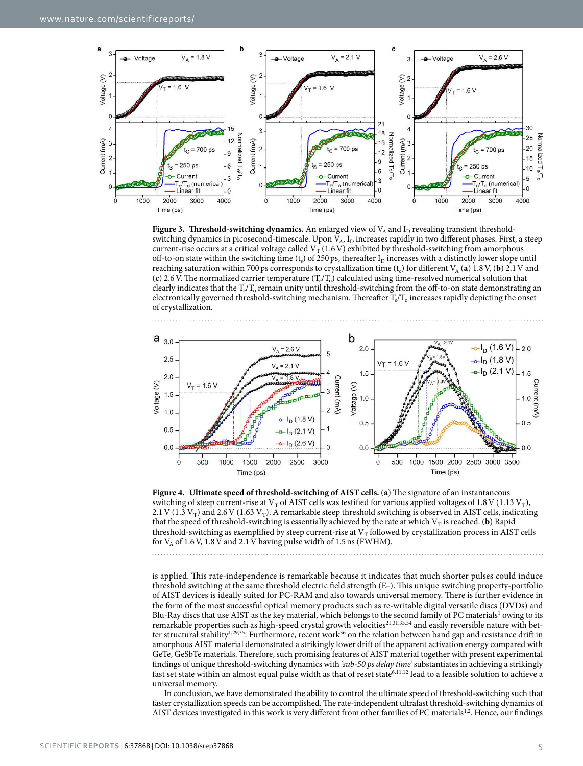

<span id="page-4-0"></span>**Figure 3.** Threshold-switching dynamics. An enlarged view of  $V_A$  and  $I_D$  revealing transient thresholdswitching dynamics in picosecond-timescale. Upon  $V_A$ ,  $I_D$  increases rapidly in two different phases. First, a steep current-rise occurs at a critical voltage called  $V_T(1.6 V)$  exhibited by threshold-switching from amorphous off-to-on state within the switching time ( $t_s$ ) of 250 ps, thereafter  $I<sub>D</sub>$  increases with a distinctly lower slope until reaching saturation within 700 ps corresponds to crystallization time  $(t_c)$  for different  $V_A$  (a) 1.8 V, (b) 2.1 V and (c) 2.6 V. The normalized carrier temperature  $(T_e/T_o)$  calculated using time-resolved numerical solution that clearly indicates that the  $T_e/T_o$  remain unity until threshold-switching from the off-to-on state demonstrating an electronically governed threshold-switching mechanism. Thereafter  $T_e/T_o$  increases rapidly depicting the onset of crystallization.



<span id="page-4-1"></span>**Figure 4. Ultimate speed of threshold-switching of AIST cells.** (**a**) The signature of an instantaneous switching of steep current-rise at  $V_T$  of AIST cells was testified for various applied voltages of 1.8 V (1.13  $V_T$ ), 2.1 V (1.3 V<sub>T</sub>) and 2.6 V (1.63 V<sub>T</sub>). A remarkable steep threshold switching is observed in AIST cells, indicating that the speed of threshold-switching is essentially achieved by the rate at which  $V_T$  is reached. (**b**) Rapid threshold-switching as exemplified by steep current-rise at  $V_T$  followed by crystallization process in AIST cells for  $V_A$  of 1.6 V, 1.8 V and 2.1 V having pulse width of 1.5 ns (FWHM).

is applied. This rate-independence is remarkable because it indicates that much shorter pulses could induce threshold switching at the same threshold electric field strength  $(E_T)$ . This unique switching property-portfolio of AIST devices is ideally suited for PC-RAM and also towards universal memory. There is further evidence in the form of the most successful optical memory products such as re-writable digital versatile discs (DVDs) and Blu-Ray discs that use AIST as the key material, which belongs to the second family of PC materials<sup>[1](#page-5-0)</sup> owing to its remarkable properties such as high-speed crystal growth velocities<sup>[21,](#page-6-3)[31,](#page-6-12)[33,](#page-6-14)[34](#page-6-15)</sup> and easily reversible nature with bet-ter structural stability<sup>[1](#page-5-0)[,29](#page-6-10)[,35](#page-6-16)</sup>. Furthermore, recent work<sup>[36](#page-6-17)</sup> on the relation between band gap and resistance drift in amorphous AIST material demonstrated a strikingly lower drift of the apparent activation energy compared with GeTe, GeSbTe materials. Therefore, such promising features of AIST material together with present experimental findings of unique threshold-switching dynamics with 'sub-50 ps delay time' substantiates in achieving a strikingly fast set state within an almost equal pulse width as that of reset state<sup>[6](#page-5-3),[11](#page-5-8),[12](#page-5-9)</sup> lead to a feasible solution to achieve a universal memory.

In conclusion, we have demonstrated the ability to control the ultimate speed of threshold-switching such that faster crystallization speeds can be accomplished. The rate-independent ultrafast threshold-switching dynamics of AIST devices investigated in this work is very different from other families of PC materials<sup>[1,](#page-5-0)[2](#page-5-1)</sup>. Hence, our findings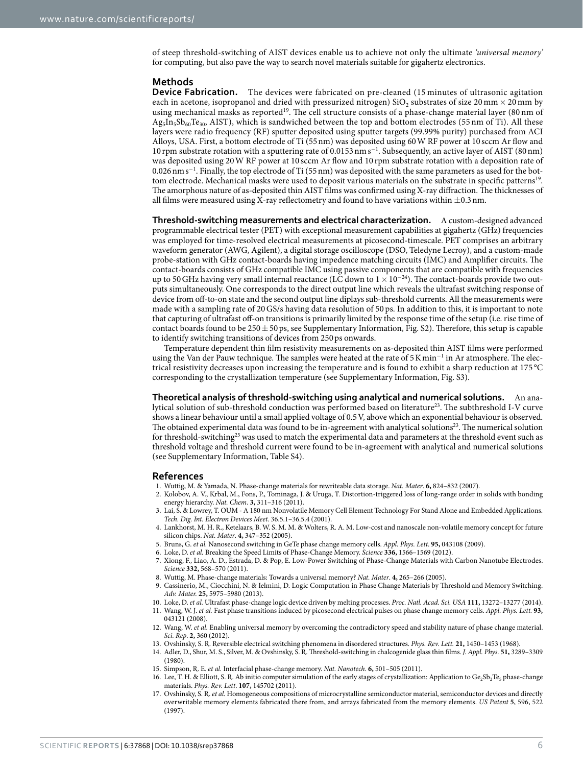of steep threshold-switching of AIST devices enable us to achieve not only the ultimate 'universal memory' for computing, but also pave the way to search novel materials suitable for gigahertz electronics.

#### **Methods**

**Device Fabrication.** The devices were fabricated on pre-cleaned (15 minutes of ultrasonic agitation each in acetone, isopropanol and dried with pressurized nitrogen) SiO<sub>2</sub> substrates of size 20 mm  $\times$  20 mm by using mechanical masks as reported<sup>[19](#page-6-1)</sup>. The cell structure consists of a phase-change material layer (80 nm of  $\text{Ag}_{5}\text{In}_{5}\text{Sb}_{60}\text{Te}_{30}$ , AIST), which is sandwiched between the top and bottom electrodes (55 nm of Ti). All these layers were radio frequency (RF) sputter deposited using sputter targets (99.99% purity) purchased from ACI Alloys, USA. First, a bottom electrode of Ti (55 nm) was deposited using 60 W RF power at 10 sccm Ar flow and 10 rpm substrate rotation with a sputtering rate of 0.0153 nm s<sup>−</sup><sup>1</sup> . Subsequently, an active layer of AIST (80 nm) was deposited using 20 W RF power at 10 sccm Ar flow and 10 rpm substrate rotation with a deposition rate of 0.026 nm s<sup>−</sup><sup>1</sup> . Finally, the top electrode of Ti (55 nm) was deposited with the same parameters as used for the bot-tom electrode. Mechanical masks were used to deposit various materials on the substrate in specific patterns<sup>[19](#page-6-1)</sup>. The amorphous nature of as-deposited thin AIST films was confirmed using X-ray diffraction. The thicknesses of all films were measured using X-ray reflectometry and found to have variations within  $\pm$ 0.3 nm.

**Threshold-switching measurements and electrical characterization.** A custom-designed advanced programmable electrical tester (PET) with exceptional measurement capabilities at gigahertz (GHz) frequencies was employed for time-resolved electrical measurements at picosecond-timescale. PET comprises an arbitrary waveform generator (AWG, Agilent), a digital storage oscilloscope (DSO, Teledyne Lecroy), and a custom-made probe-station with GHz contact-boards having impedence matching circuits (IMC) and Amplifier circuits. The contact-boards consists of GHz compatible IMC using passive components that are compatible with frequencies up to 50 GHz having very small internal reactance (LC down to 1 × 10−24). The contact-boards provide two outputs simultaneously. One corresponds to the direct output line which reveals the ultrafast switching response of device from off-to-on state and the second output line diplays sub-threshold currents. All the measurements were made with a sampling rate of 20 GS/s having data resolution of 50 ps. In addition to this, it is important to note that capturing of ultrafast off-on transitions is primarily limited by the response time of the setup (i.e. rise time of contact boards found to be  $250 \pm 50$  ps, see Supplementary Information, Fig. S2). Therefore, this setup is capable to identify switching transitions of devices from 250 ps onwards.

Temperature dependent thin film resistivity measurements on as-deposited thin AIST films were performed using the Van der Pauw technique. The samples were heated at the rate of 5 K min<sup>-1</sup> in Ar atmosphere. The electrical resistivity decreases upon increasing the temperature and is found to exhibit a sharp reduction at 175 °C corresponding to the crystallization temperature (see Supplementary Information, Fig. S3).

**Theoretical analysis of threshold-switching using analytical and numerical solutions.** An ana-lytical solution of sub-threshold conduction was performed based on literature<sup>[23](#page-6-5)</sup>. The subthreshold I-V curve shows a linear behaviour until a small applied voltage of 0.5 V, above which an exponential behaviour is observed. The obtained experimental data was found to be in-agreement with analytical solutions[23](#page-6-5). The numerical solution for threshold-switching<sup>[25](#page-6-7)</sup> was used to match the experimental data and parameters at the threshold event such as threshold voltage and threshold current were found to be in-agreement with analytical and numerical solutions (see Supplementary Information, Table S4).

#### **References**

- <span id="page-5-0"></span>1. Wuttig, M. & Yamada, N. Phase-change materials for rewriteable data storage. Nat. Mater. **6,** 824–832 (2007).
- <span id="page-5-1"></span>2. Kolobov, A. V., Krbal, M., Fons, P., Tominaga, J. & Uruga, T. Distortion-triggered loss of long-range order in solids with bonding energy hierarchy. Nat. Chem. **3,** 311–316 (2011).
- <span id="page-5-2"></span>3. Lai, S. & Lowrey, T. OUM - A 180 nm Nonvolatile Memory Cell Element Technology For Stand Alone and Embedded Applications. Tech. Dig. Int. Electron Devices Meet. 36.5.1–36.5.4 (2001).
- 4. Lankhorst, M. H. R., Ketelaars, B. W. S. M. M. & Wolters, R. A. M. Low-cost and nanoscale non-volatile memory concept for future silicon chips. Nat. Mater. **4,** 347–352 (2005).
- <span id="page-5-10"></span>5. Bruns, G. et al. Nanosecond switching in GeTe phase change memory cells. Appl. Phys. Lett. **95,** 043108 (2009).
- <span id="page-5-4"></span><span id="page-5-3"></span>6. Loke, D. et al. Breaking the Speed Limits of Phase-Change Memory. Science **336,** 1566–1569 (2012).
- 7. Xiong, F., Liao, A. D., Estrada, D. & Pop, E. Low-Power Switching of Phase-Change Materials with Carbon Nanotube Electrodes. Science **332,** 568–570 (2011).
- <span id="page-5-6"></span><span id="page-5-5"></span>8. Wuttig, M. Phase-change materials: Towards a universal memory? Nat. Mater. **4,** 265–266 (2005).
- 9. Cassinerio, M., Ciocchini, N. & Ielmini, D. Logic Computation in Phase Change Materials by Threshold and Memory Switching. Adv. Mater. **25,** 5975–5980 (2013).
- <span id="page-5-8"></span><span id="page-5-7"></span>10. Loke, D. et al. Ultrafast phase-change logic device driven by melting processes. Proc. Natl. Acad. Sci. USA **111,** 13272–13277 (2014).
- 11. Wang, W. J. et al. Fast phase transitions induced by picosecond electrical pulses on phase change memory cells. Appl. Phys. Lett. **93,** 043121 (2008).
- <span id="page-5-9"></span>12. Wang, W. et al. Enabling universal memory by overcoming the contradictory speed and stability nature of phase change material. Sci. Rep. **2,** 360 (2012).
- <span id="page-5-11"></span>13. Ovshinsky, S. R. Reversible electrical switching phenomena in disordered structures. Phys. Rev. Lett. **21,** 1450–1453 (1968).
- <span id="page-5-12"></span>14. Adler, D., Shur, M. S., Silver, M. & Ovshinsky, S. R. Threshold-switching in chalcogenide glass thin films. J. Appl. Phys. **51,** 3289–3309 (1980).
- <span id="page-5-13"></span>15. Simpson, R. E. et al. Interfacial phase-change memory. Nat. Nanotech. **6,** 501–505 (2011).
- <span id="page-5-14"></span>16. Lee, T. H. & Elliott, S. R. Ab initio computer simulation of the early stages of crystallization: Application to  $Ge_2Sb_2Te_5$  phase-change materials. Phys. Rev. Lett. **107,** 145702 (2011).
- <span id="page-5-15"></span>17. Ovshinsky, S. R. et al. Homogeneous compositions of microcrystalline semiconductor material, semiconductor devices and directly overwritable memory elements fabricated there from, and arrays fabricated from the memory elements. US Patent **5**, 596, 522 (1997).